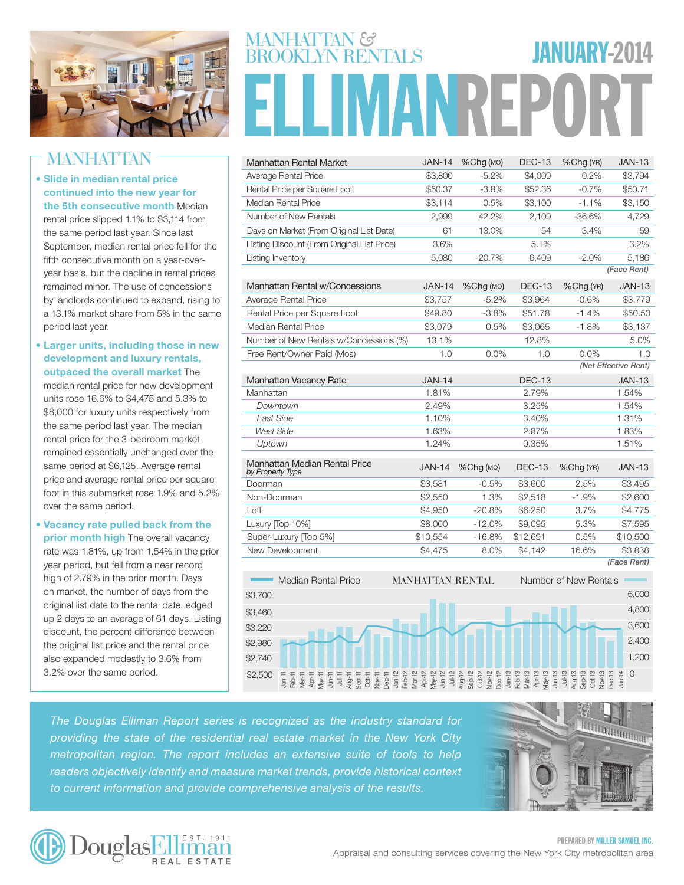

## **MANHATTAN**

- Slide in median rental price continued into the new year for the 5th consecutive month Median rental price slipped 1.1% to \$3,114 from the same period last year. Since last September, median rental price fell for the fifth consecutive month on a year-overyear basis, but the decline in rental prices remained minor. The use of concessions by landlords continued to expand, rising to a 13.1% market share from 5% in the same period last year.
- Larger units, including those in new development and luxury rentals, outpaced the overall market The median rental price for new development units rose 16.6% to \$4,475 and 5.3% to \$8,000 for luxury units respectively from the same period last year. The median rental price for the 3-bedroom market remained essentially unchanged over the same period at \$6,125. Average rental price and average rental price per square foot in this submarket rose 1.9% and 5.2% over the same period.
- Vacancy rate pulled back from the prior month high The overall vacancy rate was 1.81%, up from 1.54% in the prior year period, but fell from a near record high of 2.79% in the prior month. Days on market, the number of days from the original list date to the rental date, edged up 2 days to an average of 61 days. Listing discount, the percent difference between the original list price and the rental price also expanded modestly to 3.6% from 3.2% over the same period.

# MANHATTAN &<br>BROOKI YN RENTAL S JANUARY-2014 **IMANREPO**

| Manhattan Rental Market                           | <b>JAN-14</b>           | %Chg(MO)           | <b>DEC-13</b> | %Chg (YR)             | <b>JAN-13</b>        |
|---------------------------------------------------|-------------------------|--------------------|---------------|-----------------------|----------------------|
| Average Rental Price                              | \$3,800                 | $-5.2%$            | \$4,009       | 0.2%                  | \$3,794              |
| Rental Price per Square Foot                      | \$50.37                 | $-3.8%$            | \$52.36       | $-0.7%$               | \$50.71              |
| Median Rental Price                               | \$3,114                 | 0.5%               | \$3,100       | $-1.1%$               | \$3,150              |
| Number of New Rentals                             | 2,999                   | 42.2%              | 2,109         | $-36.6%$              | 4,729                |
| Days on Market (From Original List Date)          | 61                      | 13.0%              | 54            | 3.4%                  | 59                   |
| Listing Discount (From Original List Price)       | 3.6%                    |                    | 5.1%          |                       | 3.2%                 |
| Listing Inventory                                 | 5,080                   | $-20.7%$           | 6,409         | $-2.0%$               | 5,186                |
|                                                   |                         |                    |               |                       | (Face Rent)          |
| Manhattan Rental w/Concessions                    | <b>JAN-14</b>           | %Chg (MO)          | <b>DEC-13</b> | %Chg (YR)             | <b>JAN-13</b>        |
| Average Rental Price                              | \$3,757                 | $-5.2%$            | \$3,964       | $-0.6%$               | \$3,779              |
| Rental Price per Square Foot                      | \$49.80                 | $-3.8%$            | \$51.78       | $-1.4%$               | \$50.50              |
| Median Rental Price                               | \$3,079                 | 0.5%               | \$3,065       | $-1.8%$               | \$3,137              |
| Number of New Rentals w/Concessions (%)           | 13.1%                   |                    | 12.8%         |                       | 5.0%                 |
| Free Rent/Owner Paid (Mos)                        | 1.0                     | 0.0%               | 1.0           | 0.0%                  | 1.0                  |
|                                                   |                         |                    |               |                       | (Net Effective Rent) |
| Manhattan Vacancy Rate                            | <b>JAN-14</b>           |                    | <b>DEC-13</b> |                       | <b>JAN-13</b>        |
| Manhattan                                         | 1.81%                   |                    | 2.79%         |                       | 1.54%                |
| Downtown                                          | 2.49%                   |                    | 3.25%         |                       | 1.54%                |
| East Side                                         | 1.10%                   |                    | 3.40%         |                       | 1.31%                |
| <b>West Side</b>                                  | 1.63%                   |                    | 2.87%         |                       | 1.83%                |
| Uptown                                            | 1.24%                   |                    | 0.35%         |                       | 1.51%                |
| Manhattan Median Rental Price<br>by Property Type | <b>JAN-14</b>           | $%$ Chq $($ MO $)$ | <b>DEC-13</b> | %Chg (YR)             | <b>JAN-13</b>        |
| Doorman                                           | \$3,581                 | $-0.5%$            | \$3,600       | 2.5%                  | \$3,495              |
| Non-Doorman                                       | \$2,550                 | 1.3%               | \$2,518       | $-1.9%$               | \$2,600              |
| Loft                                              | \$4,950                 | $-20.8%$           | \$6,250       | 3.7%                  | \$4,775              |
| Luxury [Top 10%]                                  | \$8,000                 | $-12.0%$           | \$9,095       | 5.3%                  | \$7,595              |
| Super-Luxury [Top 5%]                             | \$10,554                | $-16.8%$           | \$12,691      | 0.5%                  | \$10,500             |
| New Development                                   | \$4,475                 | 8.0%               | \$4,142       | 16.6%                 | \$3,838              |
|                                                   |                         |                    |               |                       | (Face Rent)          |
| <b>Median Rental Price</b>                        | <b>MANHATTAN RENTAL</b> |                    |               | Number of New Rentals |                      |
| \$3,700                                           |                         |                    |               |                       | 6,000                |
| \$3,460                                           |                         |                    |               |                       | 4,800                |



*The Douglas Elliman Report series is recognized as the industry standard for providing the state of the residential real estate market in the New York City*  metropolitan region. The report includes an extensive suite of tools to help **AROOKLYN RENTAL Number of New Ren** readers objectively identify and measure market trends, provide historical context to current information and provide comprehensive analysis of the results.



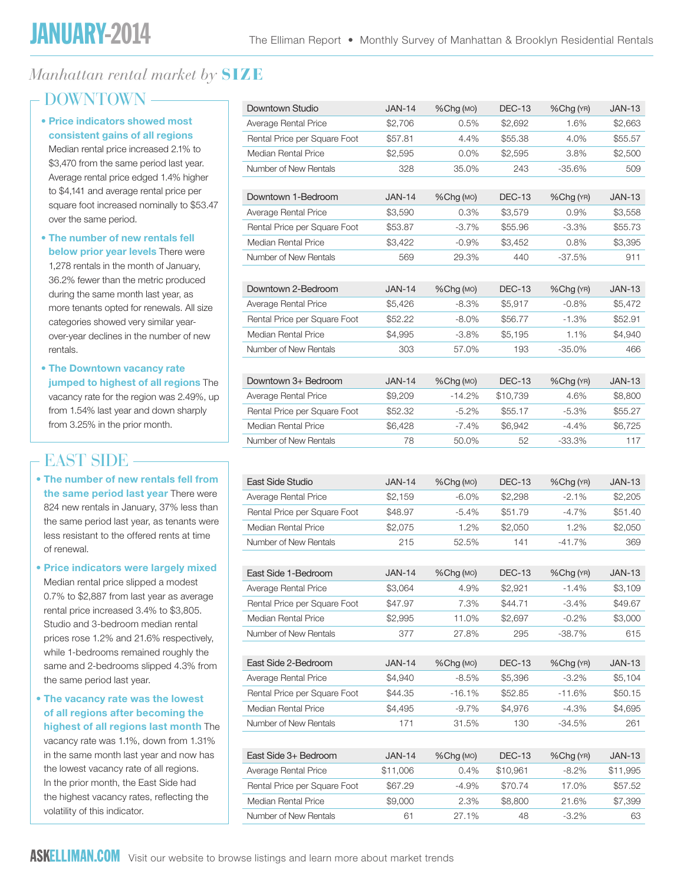## *Manhattan rental market by* **SIZE**

## - DOWNTOWN -

#### • Price indicators showed most consistent gains of all regions Median rental price increased 2.1% to \$3,470 from the same period last year. Average rental price edged 1.4% higher to \$4,141 and average rental price per square foot increased nominally to \$53.47

over the same period. • The number of new rentals fell below prior year levels There were 1,278 rentals in the month of January, 36.2% fewer than the metric produced during the same month last year, as more tenants opted for renewals. All size categories showed very similar yearover-year declines in the number of new rentals.

• The Downtown vacancy rate jumped to highest of all regions The vacancy rate for the region was 2.49%, up from 1.54% last year and down sharply from 3.25% in the prior month.

## East side

• The number of new rentals fell from the same period last year There were 824 new rentals in January, 37% less than the same period last year, as tenants were less resistant to the offered rents at time of renewal.

• Price indicators were largely mixed Median rental price slipped a modest 0.7% to \$2,887 from last year as average rental price increased 3.4% to \$3,805. Studio and 3-bedroom median rental prices rose 1.2% and 21.6% respectively, while 1-bedrooms remained roughly the same and 2-bedrooms slipped 4.3% from the same period last year.

#### • The vacancy rate was the lowest of all regions after becoming the highest of all regions last month The

vacancy rate was 1.1%, down from 1.31% in the same month last year and now has the lowest vacancy rate of all regions. In the prior month, the East Side had the highest vacancy rates, reflecting the volatility of this indicator.

| Downtown Studio              | <b>JAN-14</b> | %Chg (MO) | <b>DEC-13</b> | %Chg (YR) | <b>JAN-13</b> |
|------------------------------|---------------|-----------|---------------|-----------|---------------|
| Average Rental Price         | \$2,706       | 0.5%      | \$2,692       | 1.6%      | \$2,663       |
| Rental Price per Square Foot | \$57.81       | 4.4%      | \$55.38       | 4.0%      | \$55.57       |
| <b>Median Rental Price</b>   | \$2,595       | 0.0%      | \$2,595       | 3.8%      | \$2,500       |
| Number of New Rentals        | 328           | 35.0%     | 243           | $-35.6%$  | 509           |
|                              |               |           |               |           |               |
| Downtown 1-Bedroom           | <b>JAN-14</b> | %Chg (MO) | <b>DEC-13</b> | %Chg (YR) | <b>JAN-13</b> |
| Average Rental Price         | \$3,590       | 0.3%      | \$3,579       | 0.9%      | \$3,558       |
| Rental Price per Square Foot | \$53.87       | $-3.7%$   | \$55.96       | $-3.3%$   | \$55.73       |
| Median Rental Price          | \$3,422       | $-0.9%$   | \$3,452       | 0.8%      | \$3,395       |
| Number of New Rentals        | 569           | 29.3%     | 440           | $-37.5%$  | 911           |
|                              |               |           |               |           |               |
| Downtown 2-Bedroom           | <b>JAN-14</b> | %Chg (MO) | <b>DEC-13</b> | %Chg (YR) | JAN-13        |
| Average Rental Price         | \$5,426       | $-8.3%$   | \$5,917       | $-0.8%$   | \$5,472       |
| Rental Price per Square Foot | \$52.22       | $-8.0\%$  | \$56.77       | $-1.3%$   | \$52.91       |
| <b>Median Rental Price</b>   | \$4,995       | $-3.8%$   | \$5,195       | 1.1%      | \$4,940       |
| Number of New Rentals        | 303           | 57.0%     | 193           | $-35.0%$  | 466           |
|                              |               |           |               |           |               |
| Downtown 3+ Bedroom          | <b>JAN-14</b> | %Chg (MO) | <b>DEC-13</b> | %Chg (YR) | <b>JAN-13</b> |
| Average Rental Price         | \$9,209       | $-14.2%$  | \$10,739      | 4.6%      | \$8,800       |
| Rental Price per Square Foot | \$52.32       | $-5.2%$   | \$55.17       | $-5.3%$   | \$55.27       |
| Median Rental Price          | \$6,428       | $-7.4%$   | \$6,942       | $-4.4%$   | \$6,725       |
| Number of New Rentals        | 78            | 50.0%     | 52            | $-33.3%$  | 117           |
|                              |               |           |               |           |               |
| East Side Studio             | <b>JAN-14</b> | %Chg (MO) | <b>DEC-13</b> | %Chg (YR) | <b>JAN-13</b> |
| Average Rental Price         | \$2,159       | $-6.0\%$  | \$2,298       | $-2.1%$   | \$2,205       |
| Rental Price per Square Foot | \$48.97       | $-5.4%$   | \$51.79       | $-4.7%$   | \$51.40       |
| Median Rental Price          | \$2,075       | 1.2%      | \$2,050       | 1.2%      | \$2,050       |
| Number of New Rentals        | 215           | 52.5%     | 141           | $-41.7%$  | 369           |
|                              |               |           |               |           |               |
| East Side 1-Bedroom          | <b>JAN-14</b> | %Chg (MO) | <b>DEC-13</b> | %Chg (YR) | <b>JAN-13</b> |
| Average Rental Price         | \$3,064       | 4.9%      | \$2,921       | $-1.4%$   | \$3,109       |
| Rental Price per Square Foot | \$47.97       | 7.3%      | \$44.71       | $-3.4%$   | \$49.67       |
| Median Rental Price          | \$2,995       | 11.0%     | \$2,697       | $-0.2%$   | \$3,000       |
| Number of New Rentals        | 377           | 27.8%     | 295           | $-38.7%$  | 615           |
|                              |               |           |               |           |               |
| East Side 2-Bedroom          | <b>JAN-14</b> | %Chg (MO) | <b>DEC-13</b> | %Chg (YR) | <b>JAN-13</b> |
| Average Rental Price         | \$4,940       | $-8.5%$   | \$5,396       | $-3.2%$   | \$5,104       |
| Rental Price per Square Foot | \$44.35       | $-16.1%$  | \$52.85       | $-11.6%$  | \$50.15       |
| <b>Median Rental Price</b>   | \$4,495       | $-9.7%$   | \$4,976       | $-4.3%$   | \$4,695       |
| Number of New Rentals        | 171           | 31.5%     | 130           | -34.5%    | 261           |
|                              |               |           |               |           |               |
| East Side 3+ Bedroom         | <b>JAN-14</b> | %Chg (MO) | <b>DEC-13</b> | %Chg (YR) | <b>JAN-13</b> |
| Average Rental Price         | \$11,006      | 0.4%      | \$10,961      | $-8.2%$   | \$11,995      |
| Rental Price per Square Foot | \$67.29       | $-4.9%$   | \$70.74       | 17.0%     | \$57.52       |
| <b>Median Rental Price</b>   | \$9,000       | 2.3%      | \$8,800       | 21.6%     | \$7,399       |
| Number of New Rentals        | 61            | 27.1%     | 48            | $-3.2%$   | 63            |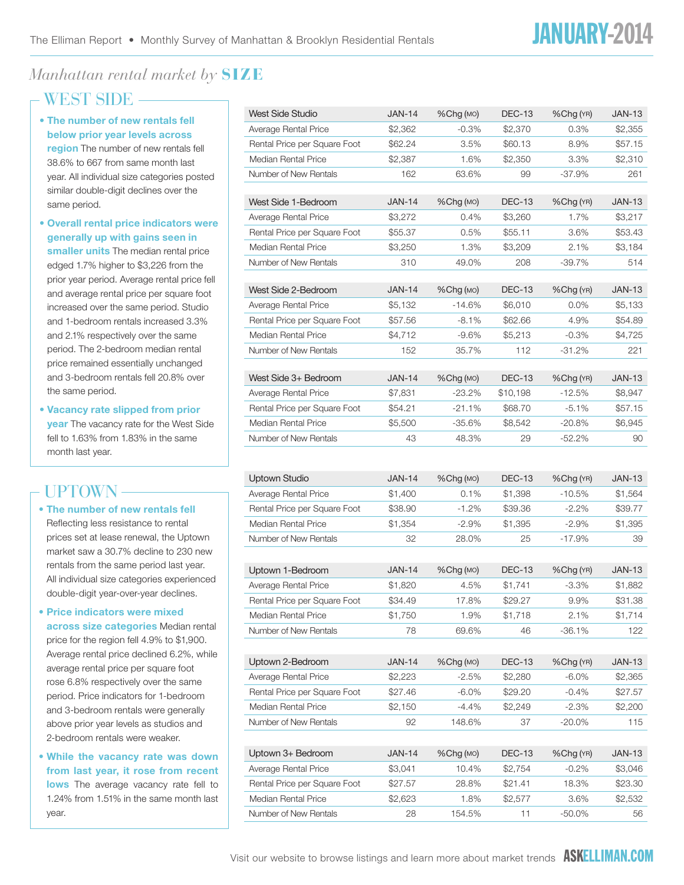# *Manhattan rental market by* **SIZE**

## - WEST SIDE -

- The number of new rentals fell below prior year levels across **region** The number of new rentals fell 38.6% to 667 from same month last year. All individual size categories posted similar double-digit declines over the same period.
- Overall rental price indicators were generally up with gains seen in smaller units The median rental price edged 1.7% higher to \$3,226 from the prior year period. Average rental price fell and average rental price per square foot increased over the same period. Studio and 1-bedroom rentals increased 3.3% and 2.1% respectively over the same period. The 2-bedroom median rental price remained essentially unchanged and 3-bedroom rentals fell 20.8% over the same period.
- Vacancy rate slipped from prior year The vacancy rate for the West Side fell to 1.63% from 1.83% in the same month last year.

## Uptown

#### • The number of new rentals fell

Reflecting less resistance to rental prices set at lease renewal, the Uptown market saw a 30.7% decline to 230 new rentals from the same period last year. All individual size categories experienced double-digit year-over-year declines.

- Price indicators were mixed across size categories Median rental price for the region fell 4.9% to \$1,900. Average rental price declined 6.2%, while average rental price per square foot rose 6.8% respectively over the same period. Price indicators for 1-bedroom and 3-bedroom rentals were generally above prior year levels as studios and 2-bedroom rentals were weaker.
- While the vacancy rate was down from last year, it rose from recent lows The average vacancy rate fell to 1.24% from 1.51% in the same month last year.

| West Side Studio             | <b>JAN-14</b> | %Chg (MO) | <b>DEC-13</b> | %Chg (YR) | JAN-13        |
|------------------------------|---------------|-----------|---------------|-----------|---------------|
| Average Rental Price         | \$2,362       | $-0.3%$   | \$2,370       | 0.3%      | \$2,355       |
| Rental Price per Square Foot | \$62.24       | 3.5%      | \$60.13       | 8.9%      | \$57.15       |
| <b>Median Rental Price</b>   | \$2,387       | 1.6%      | \$2,350       | 3.3%      | \$2,310       |
| Number of New Rentals        | 162           | 63.6%     | 99            | -37.9%    | 261           |
|                              |               |           |               |           |               |
| West Side 1-Bedroom          | <b>JAN-14</b> | %Chg (MO) | <b>DEC-13</b> | %Chg (YR) | <b>JAN-13</b> |
| Average Rental Price         | \$3,272       | 0.4%      | \$3,260       | 1.7%      | \$3,217       |
| Rental Price per Square Foot | \$55.37       | 0.5%      | \$55.11       | 3.6%      | \$53.43       |
| <b>Median Rental Price</b>   | \$3,250       | 1.3%      | \$3,209       | 2.1%      | \$3,184       |
| Number of New Rentals        | 310           | 49.0%     | 208           | $-39.7%$  | 514           |
|                              |               |           |               |           |               |
| West Side 2-Bedroom          | <b>JAN-14</b> | %Chg (MO) | <b>DEC-13</b> | %Chg (YR) | <b>JAN-13</b> |
| Average Rental Price         | \$5,132       | $-14.6%$  | \$6,010       | $0.0\%$   | \$5,133       |
| Rental Price per Square Foot | \$57.56       | $-8.1%$   | \$62.66       | 4.9%      | \$54.89       |
| <b>Median Rental Price</b>   | \$4,712       | $-9.6%$   | \$5,213       | $-0.3%$   | \$4,725       |
| Number of New Rentals        | 152           | 35.7%     | 112           | $-31.2%$  | 221           |
| West Side 3+ Bedroom         | <b>JAN-14</b> | %Chg (MO) | DEC-13        | %Chg (YR) | <b>JAN-13</b> |
| Average Rental Price         | \$7,831       | $-23.2%$  | \$10,198      | $-12.5%$  | \$8,947       |
| Rental Price per Square Foot | \$54.21       | $-21.1%$  | \$68.70       | $-5.1%$   | \$57.15       |
| Median Rental Price          | \$5,500       | $-35.6%$  | \$8,542       | $-20.8%$  | \$6,945       |
| Number of New Rentals        | 43            | 48.3%     | 29            | $-52.2%$  | 90            |
|                              |               |           |               |           |               |
|                              |               |           |               |           |               |
| <b>Uptown Studio</b>         | <b>JAN-14</b> | %Chg (MO) | <b>DEC-13</b> | %Chg (YR) | <b>JAN-13</b> |
| Average Rental Price         | \$1,400       | 0.1%      | \$1,398       | $-10.5%$  | \$1,564       |
| Rental Price per Square Foot | \$38.90       | $-1.2%$   | \$39.36       | $-2.2%$   | \$39.77       |
| <b>Median Rental Price</b>   | \$1,354       | $-2.9%$   | \$1,395       | $-2.9%$   | \$1,395       |
| Number of New Rentals        | 32            | 28.0%     | 25            | $-17.9%$  | 39            |
|                              |               |           |               |           |               |
| Uptown 1-Bedroom             | <b>JAN-14</b> | %Chg (MO) | <b>DEC-13</b> | %Chg (YR) | <b>JAN-13</b> |
| Average Rental Price         | \$1,820       | 4.5%      | \$1,741       | $-3.3%$   | \$1,882       |
| Rental Price per Square Foot | \$34.49       | 17.8%     | \$29.27       | 9.9%      | \$31.38       |
| <b>Median Rental Price</b>   | \$1,750       | 1.9%      | \$1,718       | 2.1%      | \$1,714       |
| Number of New Rentals        | 78            | 69.6%     | 46            | $-36.1%$  | 122           |
|                              |               |           |               |           |               |
| Uptown 2-Bedroom             | <b>JAN-14</b> | %Chg (MO) | <b>DEC-13</b> | %Chg (YR) | <b>JAN-13</b> |
| Average Rental Price         | \$2,223       | $-2.5%$   | \$2,280       | $-6.0\%$  | \$2,365       |
| Rental Price per Square Foot | \$27.46       | $-6.0%$   | \$29.20       | $-0.4%$   | \$27.57       |
| Median Rental Price          | \$2,150       | $-4.4%$   | \$2,249       | $-2.3%$   | \$2,200       |
| Number of New Rentals        | 92            | 148.6%    | 37            | $-20.0\%$ | 115           |
|                              |               |           |               |           |               |
| Uptown 3+ Bedroom            | <b>JAN-14</b> | %Chg (MO) | <b>DEC-13</b> | %Chg (YR) | <b>JAN-13</b> |
| Average Rental Price         | \$3,041       | 10.4%     | \$2,754       | $-0.2%$   | \$3,046       |
| Rental Price per Square Foot | \$27.57       | 28.8%     | \$21.41       | 18.3%     | \$23.30       |
|                              |               |           |               |           |               |
| Median Rental Price          | \$2,623       | 1.8%      | \$2,577       | 3.6%      | \$2,532       |